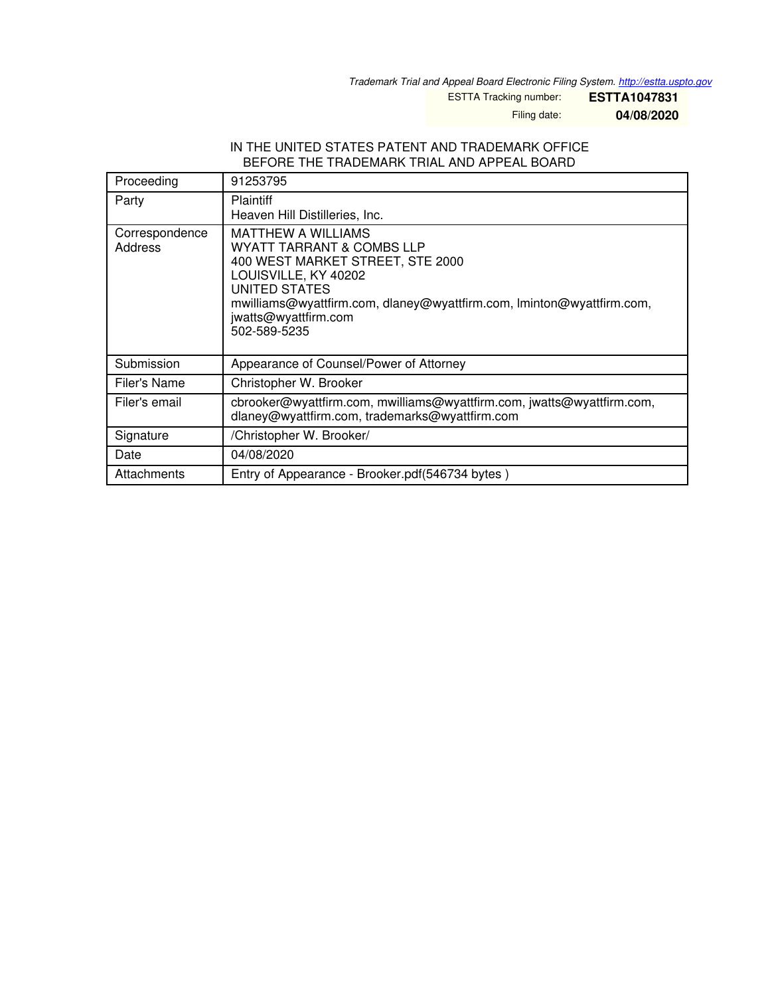*Trademark Trial and Appeal Board Electronic Filing System. <http://estta.uspto.gov>*

ESTTA Tracking number: **ESTTA1047831**

Filing date: **04/08/2020**

## IN THE UNITED STATES PATENT AND TRADEMARK OFFICE BEFORE THE TRADEMARK TRIAL AND APPEAL BOARD

| Proceeding                | 91253795                                                                                                                                                                                                                                             |  |
|---------------------------|------------------------------------------------------------------------------------------------------------------------------------------------------------------------------------------------------------------------------------------------------|--|
| Party                     | <b>Plaintiff</b><br>Heaven Hill Distilleries, Inc.                                                                                                                                                                                                   |  |
| Correspondence<br>Address | <b>MATTHEW A WILLIAMS</b><br>WYATT TARRANT & COMBS LLP<br>400 WEST MARKET STREET, STE 2000<br>LOUISVILLE, KY 40202<br>UNITED STATES<br>mwilliams@wyattfirm.com, dlaney@wyattfirm.com, Iminton@wyattfirm.com,<br>jwatts@wyattfirm.com<br>502-589-5235 |  |
| Submission                | Appearance of Counsel/Power of Attorney                                                                                                                                                                                                              |  |
| Filer's Name              | Christopher W. Brooker                                                                                                                                                                                                                               |  |
| Filer's email             | cbrooker@wyattfirm.com, mwilliams@wyattfirm.com, jwatts@wyattfirm.com,<br>dlaney@wyattfirm.com, trademarks@wyattfirm.com                                                                                                                             |  |
| Signature                 | /Christopher W. Brooker/                                                                                                                                                                                                                             |  |
| Date                      | 04/08/2020                                                                                                                                                                                                                                           |  |
| Attachments               | Entry of Appearance - Brooker.pdf(546734 bytes)                                                                                                                                                                                                      |  |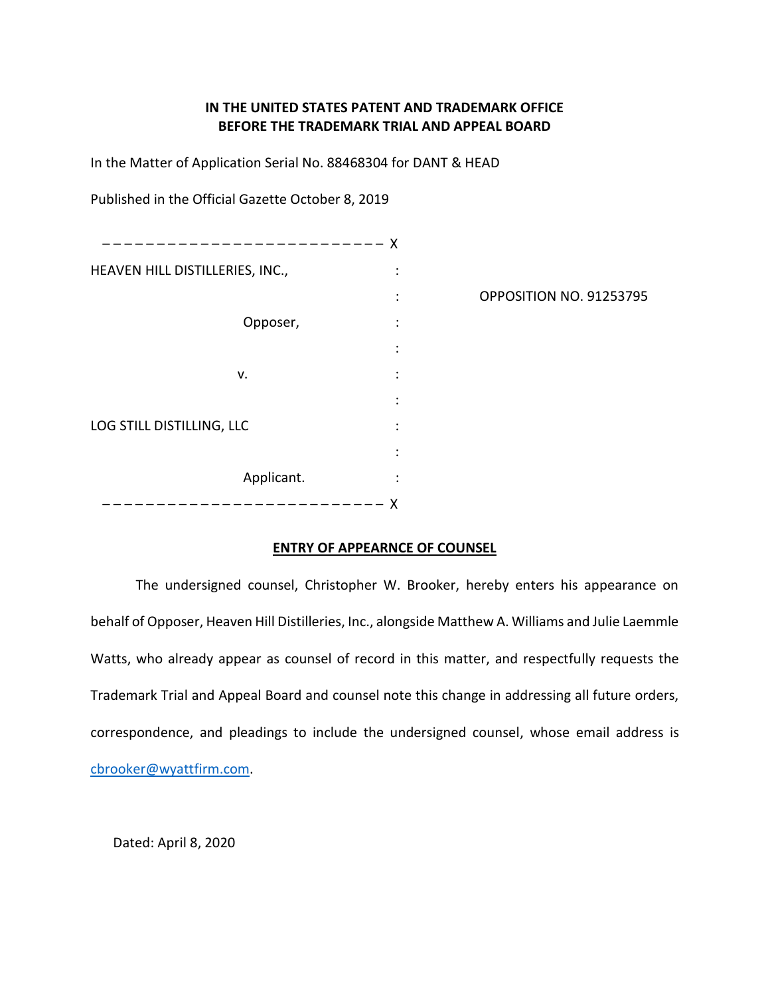## **IN THE UNITED STATES PATENT AND TRADEMARK OFFICE BEFORE THE TRADEMARK TRIAL AND APPEAL BOARD**

In the Matter of Application Serial No. 88468304 for DANT & HEAD

Published in the Official Gazette October 8, 2019

| $------x$                       |                      |                         |
|---------------------------------|----------------------|-------------------------|
| HEAVEN HILL DISTILLERIES, INC., | $\bullet$<br>$\cdot$ |                         |
|                                 | $\ddot{\cdot}$       | OPPOSITION NO. 91253795 |
| Opposer,                        | $\ddot{\cdot}$       |                         |
|                                 | ٠                    |                         |
| v.                              | ٠<br>$\cdot$         |                         |
|                                 | ٠                    |                         |
| LOG STILL DISTILLING, LLC       | ٠<br>$\cdot$         |                         |
|                                 | $\bullet$            |                         |
| Applicant.                      | ٠<br>$\cdot$         |                         |
|                                 | х                    |                         |

## **ENTRY OF APPEARNCE OF COUNSEL**

The undersigned counsel, Christopher W. Brooker, hereby enters his appearance on behalf of Opposer, Heaven Hill Distilleries, Inc., alongside Matthew A. Williams and Julie Laemmle Watts, who already appear as counsel of record in this matter, and respectfully requests the Trademark Trial and Appeal Board and counsel note this change in addressing all future orders, correspondence, and pleadings to include the undersigned counsel, whose email address is [cbrooker@wyattfirm.com.](mailto:cbrooker@wyattfirm.com)

Dated: April 8, 2020